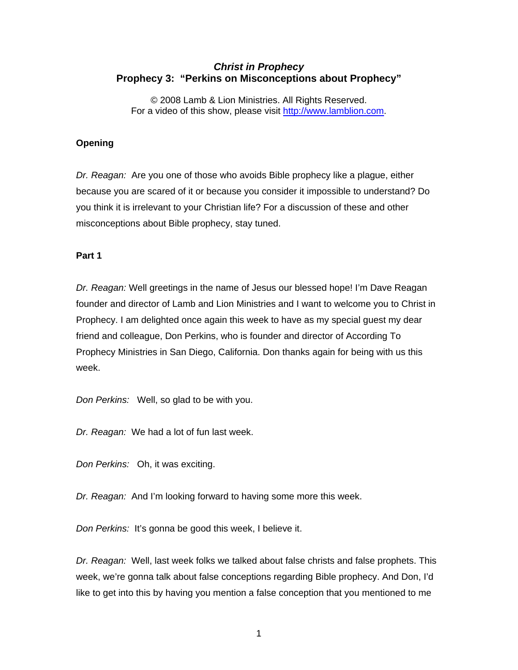# *Christ in Prophecy*  **Prophecy 3: "Perkins on Misconceptions about Prophecy"**

© 2008 Lamb & Lion Ministries. All Rights Reserved. For a video of this show, please visit [http://www.lamblion.com.](http://www.lamblion.com/)

## **Opening**

*Dr. Reagan:* Are you one of those who avoids Bible prophecy like a plague, either because you are scared of it or because you consider it impossible to understand? Do you think it is irrelevant to your Christian life? For a discussion of these and other misconceptions about Bible prophecy, stay tuned.

### **Part 1**

*Dr. Reagan:* Well greetings in the name of Jesus our blessed hope! I'm Dave Reagan founder and director of Lamb and Lion Ministries and I want to welcome you to Christ in Prophecy. I am delighted once again this week to have as my special guest my dear friend and colleague, Don Perkins, who is founder and director of According To Prophecy Ministries in San Diego, California. Don thanks again for being with us this week.

*Don Perkins:* Well, so glad to be with you.

*Dr. Reagan:* We had a lot of fun last week.

*Don Perkins:* Oh, it was exciting.

*Dr. Reagan:* And I'm looking forward to having some more this week.

*Don Perkins:* It's gonna be good this week, I believe it.

*Dr. Reagan:* Well, last week folks we talked about false christs and false prophets. This week, we're gonna talk about false conceptions regarding Bible prophecy. And Don, I'd like to get into this by having you mention a false conception that you mentioned to me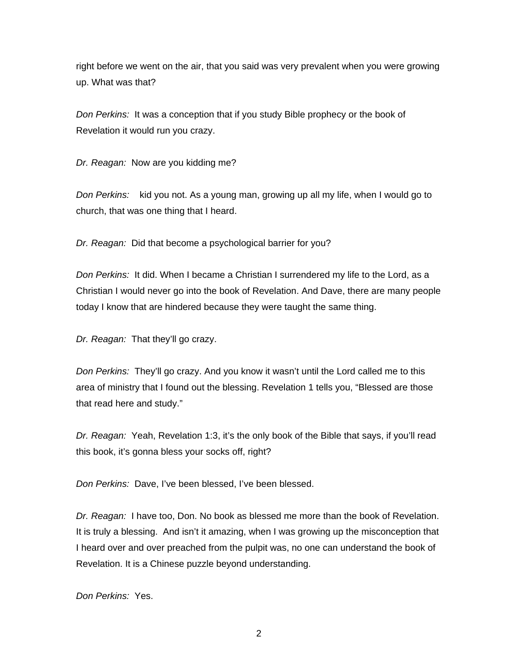right before we went on the air, that you said was very prevalent when you were growing up. What was that?

*Don Perkins:* It was a conception that if you study Bible prophecy or the book of Revelation it would run you crazy.

*Dr. Reagan:* Now are you kidding me?

*Don Perkins:* kid you not. As a young man, growing up all my life, when I would go to church, that was one thing that I heard.

*Dr. Reagan:* Did that become a psychological barrier for you?

*Don Perkins:* It did. When I became a Christian I surrendered my life to the Lord, as a Christian I would never go into the book of Revelation. And Dave, there are many people today I know that are hindered because they were taught the same thing.

*Dr. Reagan:* That they'll go crazy.

*Don Perkins:* They'll go crazy. And you know it wasn't until the Lord called me to this area of ministry that I found out the blessing. Revelation 1 tells you, "Blessed are those that read here and study."

*Dr. Reagan:* Yeah, Revelation 1:3, it's the only book of the Bible that says, if you'll read this book, it's gonna bless your socks off, right?

*Don Perkins:* Dave, I've been blessed, I've been blessed.

*Dr. Reagan:* I have too, Don. No book as blessed me more than the book of Revelation. It is truly a blessing. And isn't it amazing, when I was growing up the misconception that I heard over and over preached from the pulpit was, no one can understand the book of Revelation. It is a Chinese puzzle beyond understanding.

*Don Perkins:* Yes.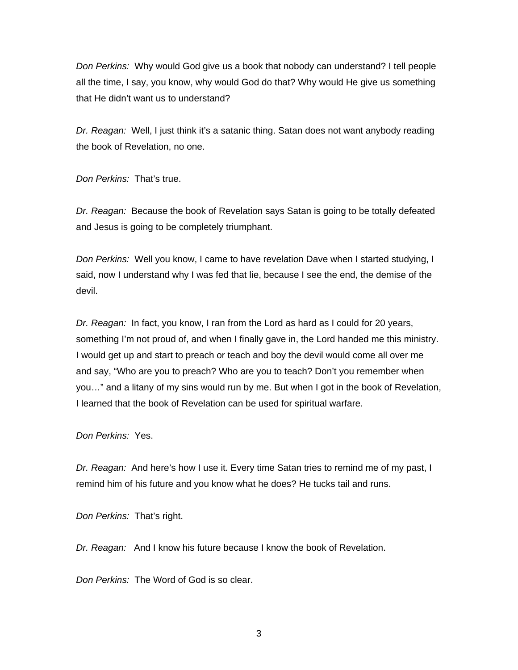*Don Perkins:* Why would God give us a book that nobody can understand? I tell people all the time, I say, you know, why would God do that? Why would He give us something that He didn't want us to understand?

*Dr. Reagan:* Well, I just think it's a satanic thing. Satan does not want anybody reading the book of Revelation, no one.

*Don Perkins:* That's true.

*Dr. Reagan:* Because the book of Revelation says Satan is going to be totally defeated and Jesus is going to be completely triumphant.

*Don Perkins:* Well you know, I came to have revelation Dave when I started studying, I said, now I understand why I was fed that lie, because I see the end, the demise of the devil.

*Dr. Reagan:* In fact, you know, I ran from the Lord as hard as I could for 20 years, something I'm not proud of, and when I finally gave in, the Lord handed me this ministry. I would get up and start to preach or teach and boy the devil would come all over me and say, "Who are you to preach? Who are you to teach? Don't you remember when you…" and a litany of my sins would run by me. But when I got in the book of Revelation, I learned that the book of Revelation can be used for spiritual warfare.

*Don Perkins:* Yes.

*Dr. Reagan:* And here's how I use it. Every time Satan tries to remind me of my past, I remind him of his future and you know what he does? He tucks tail and runs.

*Don Perkins:* That's right.

*Dr. Reagan:* And I know his future because I know the book of Revelation.

*Don Perkins:* The Word of God is so clear.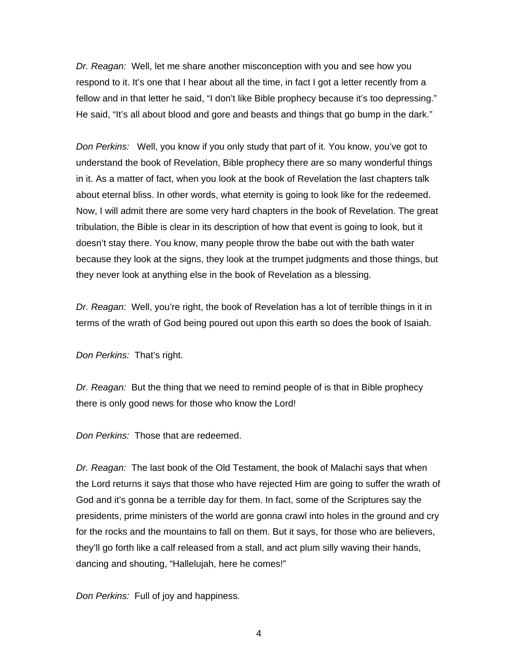*Dr. Reagan:* Well, let me share another misconception with you and see how you respond to it. It's one that I hear about all the time, in fact I got a letter recently from a fellow and in that letter he said, "I don't like Bible prophecy because it's too depressing." He said, "It's all about blood and gore and beasts and things that go bump in the dark."

*Don Perkins:* Well, you know if you only study that part of it. You know, you've got to understand the book of Revelation, Bible prophecy there are so many wonderful things in it. As a matter of fact, when you look at the book of Revelation the last chapters talk about eternal bliss. In other words, what eternity is going to look like for the redeemed. Now, I will admit there are some very hard chapters in the book of Revelation. The great tribulation, the Bible is clear in its description of how that event is going to look, but it doesn't stay there. You know, many people throw the babe out with the bath water because they look at the signs, they look at the trumpet judgments and those things, but they never look at anything else in the book of Revelation as a blessing.

*Dr. Reagan:* Well, you're right, the book of Revelation has a lot of terrible things in it in terms of the wrath of God being poured out upon this earth so does the book of Isaiah.

*Don Perkins:* That's right.

*Dr. Reagan:* But the thing that we need to remind people of is that in Bible prophecy there is only good news for those who know the Lord!

*Don Perkins:* Those that are redeemed.

*Dr. Reagan:* The last book of the Old Testament, the book of Malachi says that when the Lord returns it says that those who have rejected Him are going to suffer the wrath of God and it's gonna be a terrible day for them. In fact, some of the Scriptures say the presidents, prime ministers of the world are gonna crawl into holes in the ground and cry for the rocks and the mountains to fall on them. But it says, for those who are believers, they'll go forth like a calf released from a stall, and act plum silly waving their hands, dancing and shouting, "Hallelujah, here he comes!"

*Don Perkins:* Full of joy and happiness.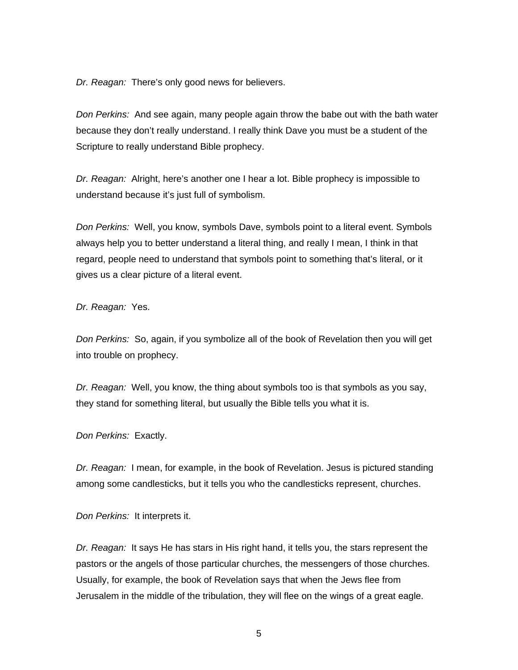*Dr. Reagan:* There's only good news for believers.

*Don Perkins:* And see again, many people again throw the babe out with the bath water because they don't really understand. I really think Dave you must be a student of the Scripture to really understand Bible prophecy.

*Dr. Reagan:* Alright, here's another one I hear a lot. Bible prophecy is impossible to understand because it's just full of symbolism.

*Don Perkins:* Well, you know, symbols Dave, symbols point to a literal event. Symbols always help you to better understand a literal thing, and really I mean, I think in that regard, people need to understand that symbols point to something that's literal, or it gives us a clear picture of a literal event.

*Dr. Reagan:* Yes.

*Don Perkins:* So, again, if you symbolize all of the book of Revelation then you will get into trouble on prophecy.

*Dr. Reagan:* Well, you know, the thing about symbols too is that symbols as you say, they stand for something literal, but usually the Bible tells you what it is.

*Don Perkins:* Exactly.

*Dr. Reagan:* I mean, for example, in the book of Revelation. Jesus is pictured standing among some candlesticks, but it tells you who the candlesticks represent, churches.

*Don Perkins:* It interprets it.

*Dr. Reagan:* It says He has stars in His right hand, it tells you, the stars represent the pastors or the angels of those particular churches, the messengers of those churches. Usually, for example, the book of Revelation says that when the Jews flee from Jerusalem in the middle of the tribulation, they will flee on the wings of a great eagle.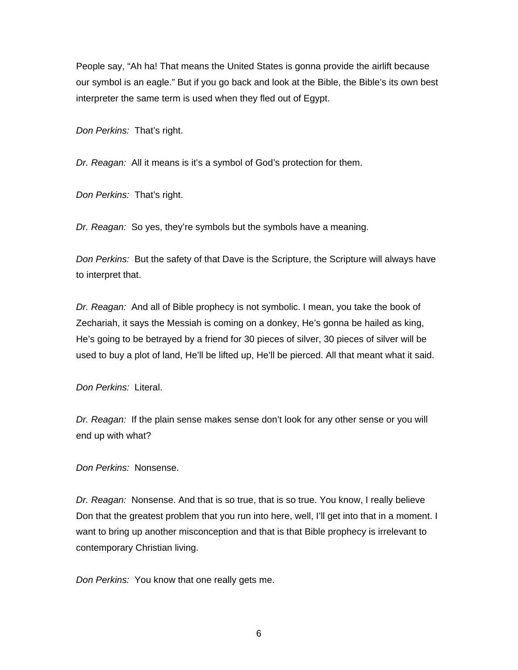People say, "Ah ha! That means the United States is gonna provide the airlift because our symbol is an eagle." But if you go back and look at the Bible, the Bible's its own best interpreter the same term is used when they fled out of Egypt.

*Don Perkins:* That's right.

*Dr. Reagan:* All it means is it's a symbol of God's protection for them.

*Don Perkins:* That's right.

*Dr. Reagan:* So yes, they're symbols but the symbols have a meaning.

*Don Perkins:* But the safety of that Dave is the Scripture, the Scripture will always have to interpret that.

*Dr. Reagan:* And all of Bible prophecy is not symbolic. I mean, you take the book of Zechariah, it says the Messiah is coming on a donkey, He's gonna be hailed as king, He's going to be betrayed by a friend for 30 pieces of silver, 30 pieces of silver will be used to buy a plot of land, He'll be lifted up, He'll be pierced. All that meant what it said.

*Don Perkins:* Literal.

*Dr. Reagan:* If the plain sense makes sense don't look for any other sense or you will end up with what?

*Don Perkins:* Nonsense.

*Dr. Reagan:* Nonsense. And that is so true, that is so true. You know, I really believe Don that the greatest problem that you run into here, well, I'll get into that in a moment. I want to bring up another misconception and that is that Bible prophecy is irrelevant to contemporary Christian living.

*Don Perkins:* You know that one really gets me.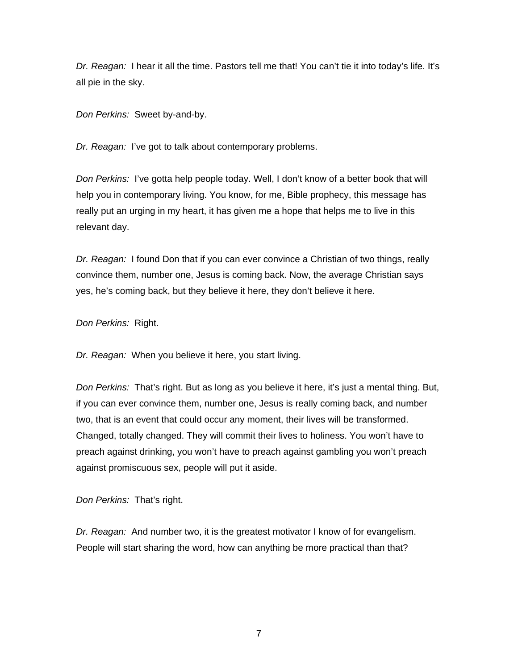*Dr. Reagan:* I hear it all the time. Pastors tell me that! You can't tie it into today's life. It's all pie in the sky.

*Don Perkins:* Sweet by-and-by.

*Dr. Reagan:* I've got to talk about contemporary problems.

*Don Perkins:* I've gotta help people today. Well, I don't know of a better book that will help you in contemporary living. You know, for me, Bible prophecy, this message has really put an urging in my heart, it has given me a hope that helps me to live in this relevant day.

*Dr. Reagan:* I found Don that if you can ever convince a Christian of two things, really convince them, number one, Jesus is coming back. Now, the average Christian says yes, he's coming back, but they believe it here, they don't believe it here.

*Don Perkins:* Right.

*Dr. Reagan:* When you believe it here, you start living.

*Don Perkins:* That's right. But as long as you believe it here, it's just a mental thing. But, if you can ever convince them, number one, Jesus is really coming back, and number two, that is an event that could occur any moment, their lives will be transformed. Changed, totally changed. They will commit their lives to holiness. You won't have to preach against drinking, you won't have to preach against gambling you won't preach against promiscuous sex, people will put it aside.

*Don Perkins:* That's right.

*Dr. Reagan:* And number two, it is the greatest motivator I know of for evangelism. People will start sharing the word, how can anything be more practical than that?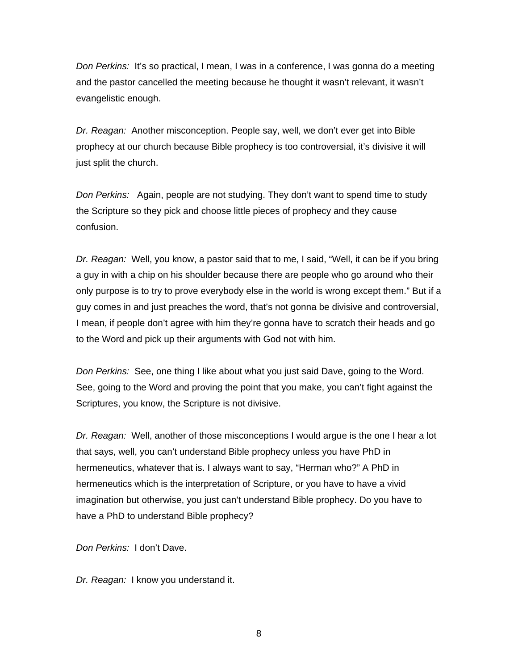*Don Perkins:* It's so practical, I mean, I was in a conference, I was gonna do a meeting and the pastor cancelled the meeting because he thought it wasn't relevant, it wasn't evangelistic enough.

*Dr. Reagan:* Another misconception. People say, well, we don't ever get into Bible prophecy at our church because Bible prophecy is too controversial, it's divisive it will just split the church.

*Don Perkins:* Again, people are not studying. They don't want to spend time to study the Scripture so they pick and choose little pieces of prophecy and they cause confusion.

*Dr. Reagan:* Well, you know, a pastor said that to me, I said, "Well, it can be if you bring a guy in with a chip on his shoulder because there are people who go around who their only purpose is to try to prove everybody else in the world is wrong except them." But if a guy comes in and just preaches the word, that's not gonna be divisive and controversial, I mean, if people don't agree with him they're gonna have to scratch their heads and go to the Word and pick up their arguments with God not with him.

*Don Perkins:* See, one thing I like about what you just said Dave, going to the Word. See, going to the Word and proving the point that you make, you can't fight against the Scriptures, you know, the Scripture is not divisive.

*Dr. Reagan:* Well, another of those misconceptions I would argue is the one I hear a lot that says, well, you can't understand Bible prophecy unless you have PhD in hermeneutics, whatever that is. I always want to say, "Herman who?" A PhD in hermeneutics which is the interpretation of Scripture, or you have to have a vivid imagination but otherwise, you just can't understand Bible prophecy. Do you have to have a PhD to understand Bible prophecy?

*Don Perkins:* I don't Dave.

*Dr. Reagan:* I know you understand it.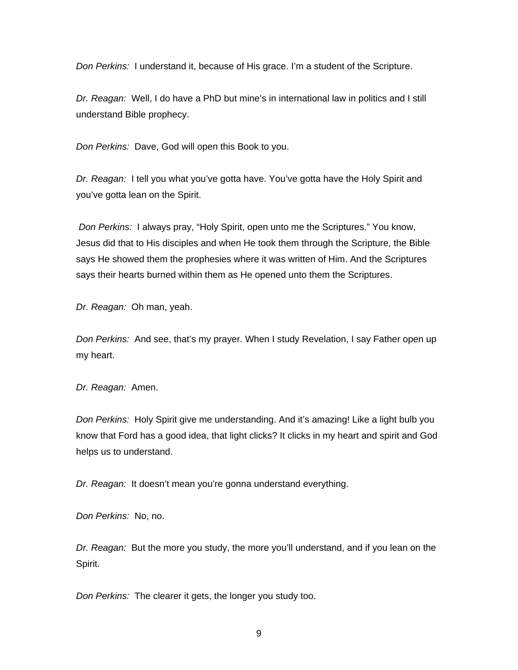*Don Perkins:* I understand it, because of His grace. I'm a student of the Scripture.

*Dr. Reagan:* Well, I do have a PhD but mine's in international law in politics and I still understand Bible prophecy.

*Don Perkins:* Dave, God will open this Book to you.

*Dr. Reagan:* I tell you what you've gotta have. You've gotta have the Holy Spirit and you've gotta lean on the Spirit.

*Don Perkins:* I always pray, "Holy Spirit, open unto me the Scriptures." You know, Jesus did that to His disciples and when He took them through the Scripture, the Bible says He showed them the prophesies where it was written of Him. And the Scriptures says their hearts burned within them as He opened unto them the Scriptures.

*Dr. Reagan:* Oh man, yeah.

*Don Perkins:* And see, that's my prayer. When I study Revelation, I say Father open up my heart.

*Dr. Reagan:* Amen.

*Don Perkins:* Holy Spirit give me understanding. And it's amazing! Like a light bulb you know that Ford has a good idea, that light clicks? It clicks in my heart and spirit and God helps us to understand.

*Dr. Reagan:* It doesn't mean you're gonna understand everything.

*Don Perkins:* No, no.

*Dr. Reagan:* But the more you study, the more you'll understand, and if you lean on the Spirit.

*Don Perkins:* The clearer it gets, the longer you study too.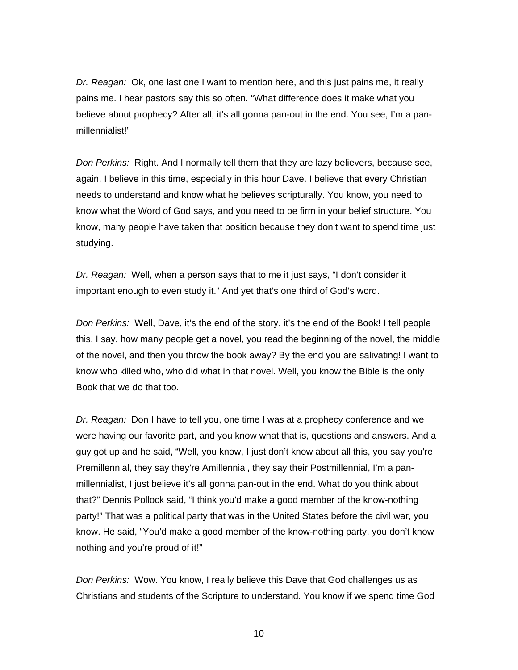*Dr. Reagan:* Ok, one last one I want to mention here, and this just pains me, it really pains me. I hear pastors say this so often. "What difference does it make what you believe about prophecy? After all, it's all gonna pan-out in the end. You see, I'm a panmillennialist!"

*Don Perkins:* Right. And I normally tell them that they are lazy believers, because see, again, I believe in this time, especially in this hour Dave. I believe that every Christian needs to understand and know what he believes scripturally. You know, you need to know what the Word of God says, and you need to be firm in your belief structure. You know, many people have taken that position because they don't want to spend time just studying.

*Dr. Reagan:* Well, when a person says that to me it just says, "I don't consider it important enough to even study it." And yet that's one third of God's word.

*Don Perkins:* Well, Dave, it's the end of the story, it's the end of the Book! I tell people this, I say, how many people get a novel, you read the beginning of the novel, the middle of the novel, and then you throw the book away? By the end you are salivating! I want to know who killed who, who did what in that novel. Well, you know the Bible is the only Book that we do that too.

*Dr. Reagan:* Don I have to tell you, one time I was at a prophecy conference and we were having our favorite part, and you know what that is, questions and answers. And a guy got up and he said, "Well, you know, I just don't know about all this, you say you're Premillennial, they say they're Amillennial, they say their Postmillennial, I'm a panmillennialist, I just believe it's all gonna pan-out in the end. What do you think about that?" Dennis Pollock said, "I think you'd make a good member of the know-nothing party!" That was a political party that was in the United States before the civil war, you know. He said, "You'd make a good member of the know-nothing party, you don't know nothing and you're proud of it!"

*Don Perkins:* Wow. You know, I really believe this Dave that God challenges us as Christians and students of the Scripture to understand. You know if we spend time God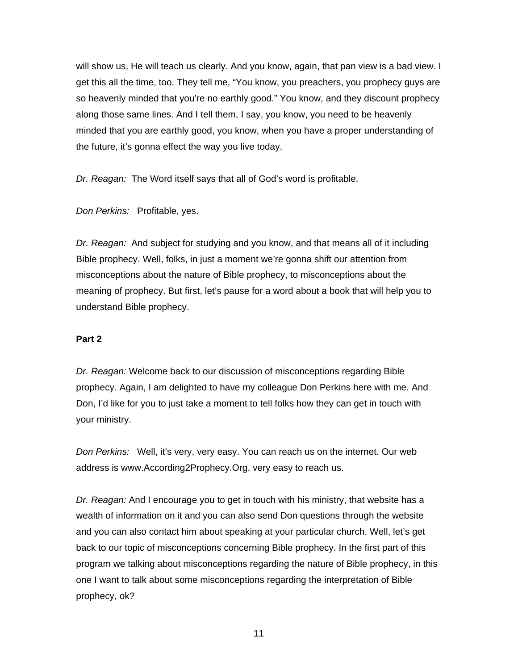will show us, He will teach us clearly. And you know, again, that pan view is a bad view. I get this all the time, too. They tell me, "You know, you preachers, you prophecy guys are so heavenly minded that you're no earthly good." You know, and they discount prophecy along those same lines. And I tell them, I say, you know, you need to be heavenly minded that you are earthly good, you know, when you have a proper understanding of the future, it's gonna effect the way you live today.

*Dr. Reagan:* The Word itself says that all of God's word is profitable.

*Don Perkins:* Profitable, yes.

*Dr. Reagan:* And subject for studying and you know, and that means all of it including Bible prophecy. Well, folks, in just a moment we're gonna shift our attention from misconceptions about the nature of Bible prophecy, to misconceptions about the meaning of prophecy. But first, let's pause for a word about a book that will help you to understand Bible prophecy.

### **Part 2**

*Dr. Reagan:* Welcome back to our discussion of misconceptions regarding Bible prophecy. Again, I am delighted to have my colleague Don Perkins here with me. And Don, I'd like for you to just take a moment to tell folks how they can get in touch with your ministry.

*Don Perkins:* Well, it's very, very easy. You can reach us on the internet. Our web address is www.According2Prophecy.Org, very easy to reach us.

*Dr. Reagan:* And I encourage you to get in touch with his ministry, that website has a wealth of information on it and you can also send Don questions through the website and you can also contact him about speaking at your particular church. Well, let's get back to our topic of misconceptions concerning Bible prophecy. In the first part of this program we talking about misconceptions regarding the nature of Bible prophecy, in this one I want to talk about some misconceptions regarding the interpretation of Bible prophecy, ok?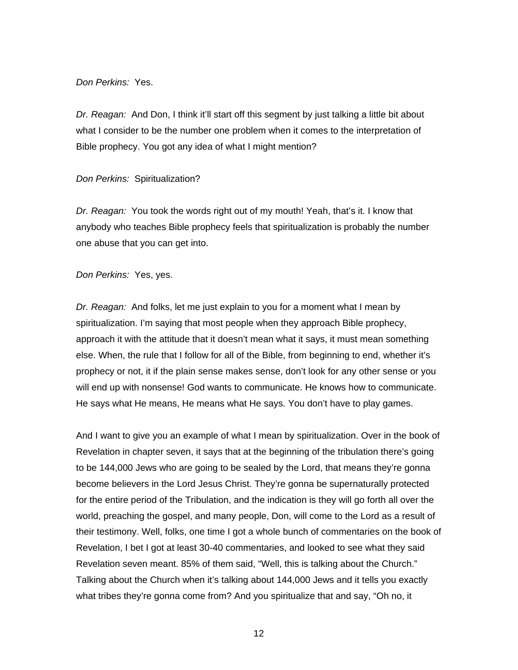#### *Don Perkins:* Yes.

*Dr. Reagan:* And Don, I think it'll start off this segment by just talking a little bit about what I consider to be the number one problem when it comes to the interpretation of Bible prophecy. You got any idea of what I might mention?

#### *Don Perkins:* Spiritualization?

*Dr. Reagan:* You took the words right out of my mouth! Yeah, that's it. I know that anybody who teaches Bible prophecy feels that spiritualization is probably the number one abuse that you can get into.

#### *Don Perkins:* Yes, yes.

*Dr. Reagan:* And folks, let me just explain to you for a moment what I mean by spiritualization. I'm saying that most people when they approach Bible prophecy, approach it with the attitude that it doesn't mean what it says, it must mean something else. When, the rule that I follow for all of the Bible, from beginning to end, whether it's prophecy or not, it if the plain sense makes sense, don't look for any other sense or you will end up with nonsense! God wants to communicate. He knows how to communicate. He says what He means, He means what He says. You don't have to play games.

And I want to give you an example of what I mean by spiritualization. Over in the book of Revelation in chapter seven, it says that at the beginning of the tribulation there's going to be 144,000 Jews who are going to be sealed by the Lord, that means they're gonna become believers in the Lord Jesus Christ. They're gonna be supernaturally protected for the entire period of the Tribulation, and the indication is they will go forth all over the world, preaching the gospel, and many people, Don, will come to the Lord as a result of their testimony. Well, folks, one time I got a whole bunch of commentaries on the book of Revelation, I bet I got at least 30-40 commentaries, and looked to see what they said Revelation seven meant. 85% of them said, "Well, this is talking about the Church." Talking about the Church when it's talking about 144,000 Jews and it tells you exactly what tribes they're gonna come from? And you spiritualize that and say, "Oh no, it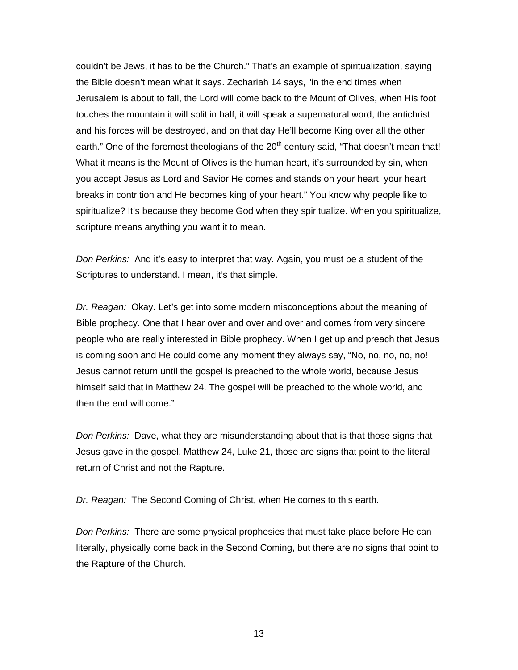couldn't be Jews, it has to be the Church." That's an example of spiritualization, saying the Bible doesn't mean what it says. Zechariah 14 says, "in the end times when Jerusalem is about to fall, the Lord will come back to the Mount of Olives, when His foot touches the mountain it will split in half, it will speak a supernatural word, the antichrist and his forces will be destroyed, and on that day He'll become King over all the other earth." One of the foremost theologians of the  $20<sup>th</sup>$  century said, "That doesn't mean that! What it means is the Mount of Olives is the human heart, it's surrounded by sin, when you accept Jesus as Lord and Savior He comes and stands on your heart, your heart breaks in contrition and He becomes king of your heart." You know why people like to spiritualize? It's because they become God when they spiritualize. When you spiritualize, scripture means anything you want it to mean.

*Don Perkins:* And it's easy to interpret that way. Again, you must be a student of the Scriptures to understand. I mean, it's that simple.

*Dr. Reagan:* Okay. Let's get into some modern misconceptions about the meaning of Bible prophecy. One that I hear over and over and over and comes from very sincere people who are really interested in Bible prophecy. When I get up and preach that Jesus is coming soon and He could come any moment they always say, "No, no, no, no, no! Jesus cannot return until the gospel is preached to the whole world, because Jesus himself said that in Matthew 24. The gospel will be preached to the whole world, and then the end will come."

*Don Perkins:* Dave, what they are misunderstanding about that is that those signs that Jesus gave in the gospel, Matthew 24, Luke 21, those are signs that point to the literal return of Christ and not the Rapture.

*Dr. Reagan:* The Second Coming of Christ, when He comes to this earth.

*Don Perkins:* There are some physical prophesies that must take place before He can literally, physically come back in the Second Coming, but there are no signs that point to the Rapture of the Church.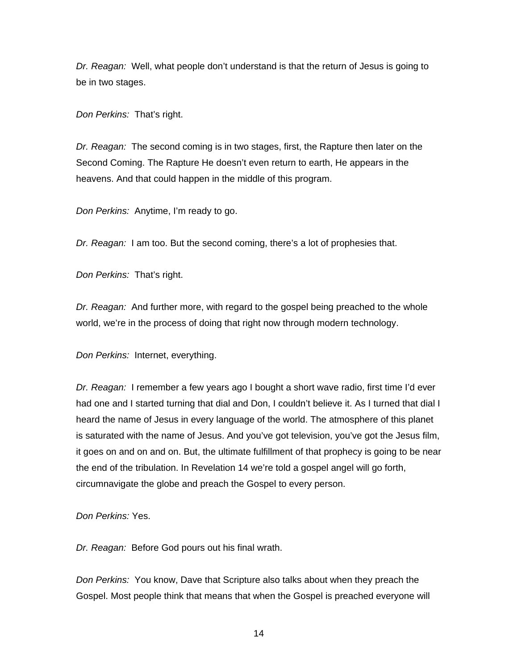*Dr. Reagan:* Well, what people don't understand is that the return of Jesus is going to be in two stages.

*Don Perkins:* That's right.

*Dr. Reagan:* The second coming is in two stages, first, the Rapture then later on the Second Coming. The Rapture He doesn't even return to earth, He appears in the heavens. And that could happen in the middle of this program.

*Don Perkins:* Anytime, I'm ready to go.

*Dr. Reagan:* I am too. But the second coming, there's a lot of prophesies that.

*Don Perkins:* That's right.

*Dr. Reagan:* And further more, with regard to the gospel being preached to the whole world, we're in the process of doing that right now through modern technology.

*Don Perkins:* Internet, everything.

*Dr. Reagan:* I remember a few years ago I bought a short wave radio, first time I'd ever had one and I started turning that dial and Don, I couldn't believe it. As I turned that dial I heard the name of Jesus in every language of the world. The atmosphere of this planet is saturated with the name of Jesus. And you've got television, you've got the Jesus film, it goes on and on and on. But, the ultimate fulfillment of that prophecy is going to be near the end of the tribulation. In Revelation 14 we're told a gospel angel will go forth, circumnavigate the globe and preach the Gospel to every person.

*Don Perkins:* Yes.

*Dr. Reagan:* Before God pours out his final wrath.

*Don Perkins:* You know, Dave that Scripture also talks about when they preach the Gospel. Most people think that means that when the Gospel is preached everyone will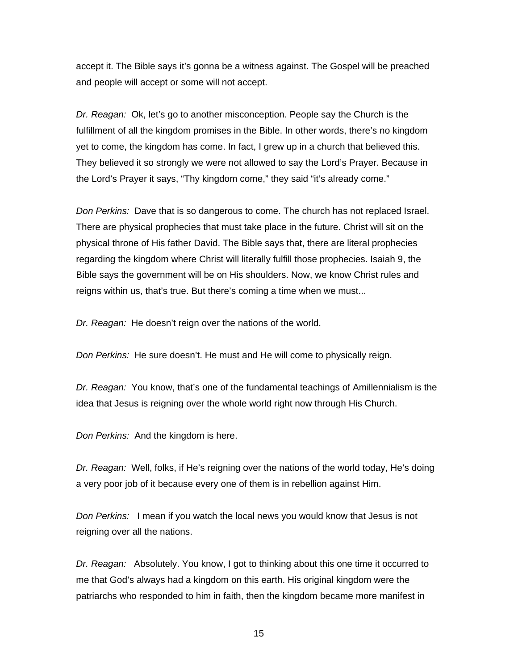accept it. The Bible says it's gonna be a witness against. The Gospel will be preached and people will accept or some will not accept.

*Dr. Reagan:* Ok, let's go to another misconception. People say the Church is the fulfillment of all the kingdom promises in the Bible. In other words, there's no kingdom yet to come, the kingdom has come. In fact, I grew up in a church that believed this. They believed it so strongly we were not allowed to say the Lord's Prayer. Because in the Lord's Prayer it says, "Thy kingdom come," they said "it's already come."

*Don Perkins:* Dave that is so dangerous to come. The church has not replaced Israel. There are physical prophecies that must take place in the future. Christ will sit on the physical throne of His father David. The Bible says that, there are literal prophecies regarding the kingdom where Christ will literally fulfill those prophecies. Isaiah 9, the Bible says the government will be on His shoulders. Now, we know Christ rules and reigns within us, that's true. But there's coming a time when we must...

*Dr. Reagan:* He doesn't reign over the nations of the world.

*Don Perkins:* He sure doesn't. He must and He will come to physically reign.

*Dr. Reagan:* You know, that's one of the fundamental teachings of Amillennialism is the idea that Jesus is reigning over the whole world right now through His Church.

*Don Perkins:* And the kingdom is here.

*Dr. Reagan:* Well, folks, if He's reigning over the nations of the world today, He's doing a very poor job of it because every one of them is in rebellion against Him.

*Don Perkins:* I mean if you watch the local news you would know that Jesus is not reigning over all the nations.

*Dr. Reagan:* Absolutely. You know, I got to thinking about this one time it occurred to me that God's always had a kingdom on this earth. His original kingdom were the patriarchs who responded to him in faith, then the kingdom became more manifest in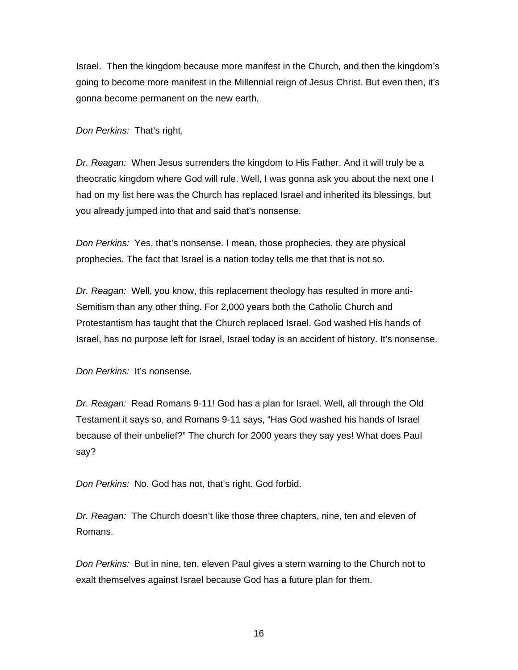Israel. Then the kingdom because more manifest in the Church, and then the kingdom's going to become more manifest in the Millennial reign of Jesus Christ. But even then, it's gonna become permanent on the new earth,

*Don Perkins:* That's right,

*Dr. Reagan:* When Jesus surrenders the kingdom to His Father. And it will truly be a theocratic kingdom where God will rule. Well, I was gonna ask you about the next one I had on my list here was the Church has replaced Israel and inherited its blessings, but you already jumped into that and said that's nonsense.

*Don Perkins:* Yes, that's nonsense. I mean, those prophecies, they are physical prophecies. The fact that Israel is a nation today tells me that that is not so.

*Dr. Reagan:* Well, you know, this replacement theology has resulted in more anti-Semitism than any other thing. For 2,000 years both the Catholic Church and Protestantism has taught that the Church replaced Israel. God washed His hands of Israel, has no purpose left for Israel, Israel today is an accident of history. It's nonsense.

*Don Perkins:* It's nonsense.

*Dr. Reagan:* Read Romans 9-11! God has a plan for Israel. Well, all through the Old Testament it says so, and Romans 9-11 says, "Has God washed his hands of Israel because of their unbelief?" The church for 2000 years they say yes! What does Paul say?

*Don Perkins:* No. God has not, that's right. God forbid.

*Dr. Reagan:* The Church doesn't like those three chapters, nine, ten and eleven of Romans.

*Don Perkins:* But in nine, ten, eleven Paul gives a stern warning to the Church not to exalt themselves against Israel because God has a future plan for them.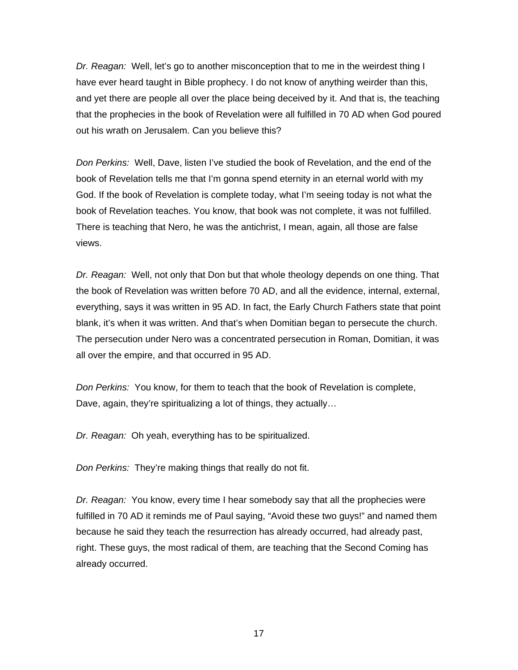*Dr. Reagan:* Well, let's go to another misconception that to me in the weirdest thing I have ever heard taught in Bible prophecy. I do not know of anything weirder than this, and yet there are people all over the place being deceived by it. And that is, the teaching that the prophecies in the book of Revelation were all fulfilled in 70 AD when God poured out his wrath on Jerusalem. Can you believe this?

*Don Perkins:* Well, Dave, listen I've studied the book of Revelation, and the end of the book of Revelation tells me that I'm gonna spend eternity in an eternal world with my God. If the book of Revelation is complete today, what I'm seeing today is not what the book of Revelation teaches. You know, that book was not complete, it was not fulfilled. There is teaching that Nero, he was the antichrist, I mean, again, all those are false views.

*Dr. Reagan:* Well, not only that Don but that whole theology depends on one thing. That the book of Revelation was written before 70 AD, and all the evidence, internal, external, everything, says it was written in 95 AD. In fact, the Early Church Fathers state that point blank, it's when it was written. And that's when Domitian began to persecute the church. The persecution under Nero was a concentrated persecution in Roman, Domitian, it was all over the empire, and that occurred in 95 AD.

*Don Perkins:* You know, for them to teach that the book of Revelation is complete, Dave, again, they're spiritualizing a lot of things, they actually…

*Dr. Reagan:* Oh yeah, everything has to be spiritualized.

*Don Perkins:* They're making things that really do not fit.

*Dr. Reagan:* You know, every time I hear somebody say that all the prophecies were fulfilled in 70 AD it reminds me of Paul saying, "Avoid these two guys!" and named them because he said they teach the resurrection has already occurred, had already past, right. These guys, the most radical of them, are teaching that the Second Coming has already occurred.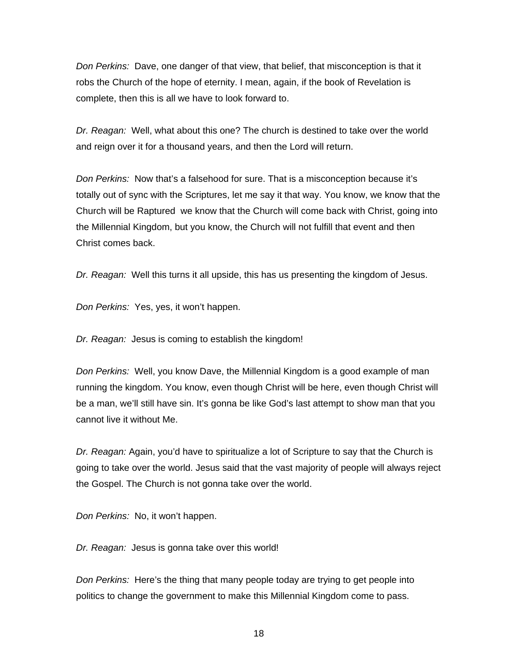*Don Perkins:* Dave, one danger of that view, that belief, that misconception is that it robs the Church of the hope of eternity. I mean, again, if the book of Revelation is complete, then this is all we have to look forward to.

*Dr. Reagan:* Well, what about this one? The church is destined to take over the world and reign over it for a thousand years, and then the Lord will return.

*Don Perkins:* Now that's a falsehood for sure. That is a misconception because it's totally out of sync with the Scriptures, let me say it that way. You know, we know that the Church will be Raptured we know that the Church will come back with Christ, going into the Millennial Kingdom, but you know, the Church will not fulfill that event and then Christ comes back.

*Dr. Reagan:* Well this turns it all upside, this has us presenting the kingdom of Jesus.

*Don Perkins:* Yes, yes, it won't happen.

*Dr. Reagan:* Jesus is coming to establish the kingdom!

*Don Perkins:* Well, you know Dave, the Millennial Kingdom is a good example of man running the kingdom. You know, even though Christ will be here, even though Christ will be a man, we'll still have sin. It's gonna be like God's last attempt to show man that you cannot live it without Me.

*Dr. Reagan:* Again, you'd have to spiritualize a lot of Scripture to say that the Church is going to take over the world. Jesus said that the vast majority of people will always reject the Gospel. The Church is not gonna take over the world.

*Don Perkins:* No, it won't happen.

*Dr. Reagan:* Jesus is gonna take over this world!

*Don Perkins:* Here's the thing that many people today are trying to get people into politics to change the government to make this Millennial Kingdom come to pass.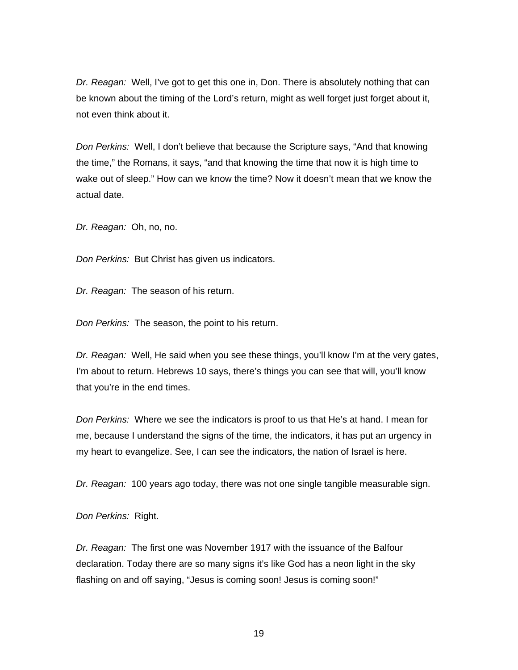*Dr. Reagan:* Well, I've got to get this one in, Don. There is absolutely nothing that can be known about the timing of the Lord's return, might as well forget just forget about it, not even think about it.

*Don Perkins:* Well, I don't believe that because the Scripture says, "And that knowing the time," the Romans, it says, "and that knowing the time that now it is high time to wake out of sleep." How can we know the time? Now it doesn't mean that we know the actual date.

*Dr. Reagan:* Oh, no, no.

*Don Perkins:* But Christ has given us indicators.

*Dr. Reagan:* The season of his return.

*Don Perkins:* The season, the point to his return.

*Dr. Reagan:* Well, He said when you see these things, you'll know I'm at the very gates, I'm about to return. Hebrews 10 says, there's things you can see that will, you'll know that you're in the end times.

*Don Perkins:* Where we see the indicators is proof to us that He's at hand. I mean for me, because I understand the signs of the time, the indicators, it has put an urgency in my heart to evangelize. See, I can see the indicators, the nation of Israel is here.

*Dr. Reagan:* 100 years ago today, there was not one single tangible measurable sign.

*Don Perkins:* Right.

*Dr. Reagan:* The first one was November 1917 with the issuance of the Balfour declaration. Today there are so many signs it's like God has a neon light in the sky flashing on and off saying, "Jesus is coming soon! Jesus is coming soon!"